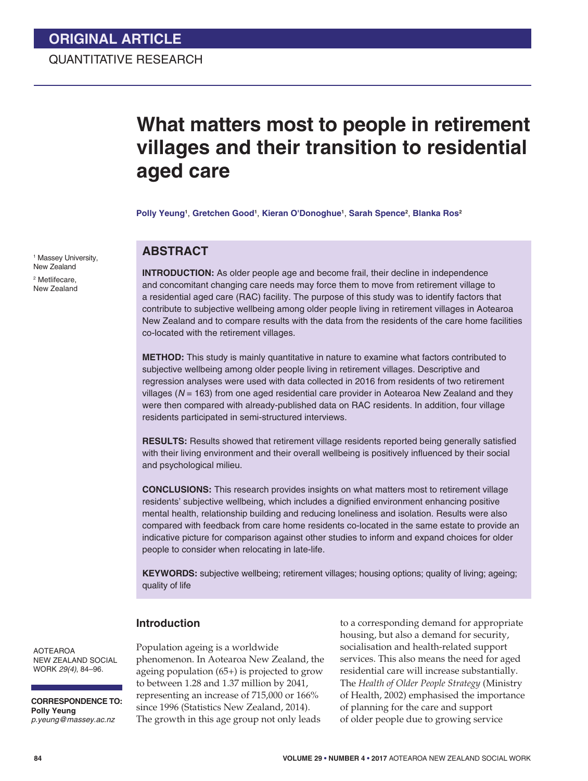# **What matters most to people in retirement villages and their transition to residential aged care**

**Polly Yeung1** , **Gretchen Good1** , **Kieran O'Donoghue1** , **Sarah Spence2** , **Blanka Ros2** 

### **ABSTRACT**

**INTRODUCTION:** As older people age and become frail, their decline in independence and concomitant changing care needs may force them to move from retirement village to a residential aged care (RAC) facility. The purpose of this study was to identify factors that contribute to subjective wellbeing among older people living in retirement villages in Aotearoa New Zealand and to compare results with the data from the residents of the care home facilities co-located with the retirement villages.

**METHOD:** This study is mainly quantitative in nature to examine what factors contributed to subjective wellbeing among older people living in retirement villages. Descriptive and regression analyses were used with data collected in 2016 from residents of two retirement villages (*N* = 163) from one aged residential care provider in Aotearoa New Zealand and they were then compared with already-published data on RAC residents. In addition, four village residents participated in semi-structured interviews.

**RESULTS:** Results showed that retirement village residents reported being generally satisfied with their living environment and their overall wellbeing is positively influenced by their social and psychological milieu.

**CONCLUSIONS:** This research provides insights on what matters most to retirement village residents' subjective wellbeing, which includes a dignified environment enhancing positive mental health, relationship building and reducing loneliness and isolation. Results were also compared with feedback from care home residents co-located in the same estate to provide an indicative picture for comparison against other studies to inform and expand choices for older people to consider when relocating in late-life.

**KEYWORDS:** subjective wellbeing; retirement villages; housing options; quality of living; ageing; quality of life

#### **Introduction**

AOTEAROA NEW ZEALAND SOCIAL WORK *29(4)*, 84–96.

**CORRESPONDENCE TO: Polly Yeung** *p.yeung@massey.ac.nz*

Population ageing is a worldwide phenomenon. In Aotearoa New Zealand, the ageing population (65+) is projected to grow to between 1.28 and 1.37 million by 2041, representing an increase of 715,000 or 166% since 1996 (Statistics New Zealand, 2014). The growth in this age group not only leads

to a corresponding demand for appropriate housing, but also a demand for security, socialisation and health-related support services. This also means the need for aged residential care will increase substantially. The *Health of Older People Strategy* (Ministry of Health, 2002) emphasised the importance of planning for the care and support of older people due to growing service

1 Massey University, New Zealand

2 Metlifecare, New Zealand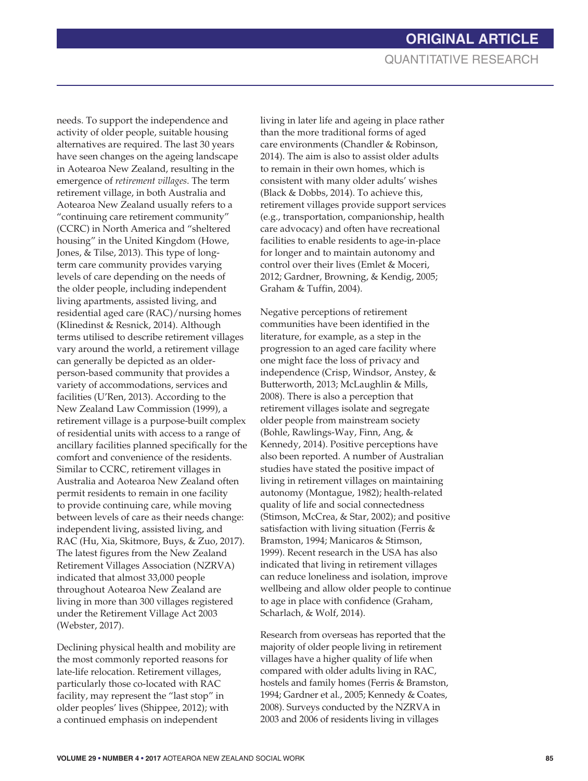needs. To support the independence and activity of older people, suitable housing alternatives are required. The last 30 years have seen changes on the ageing landscape in Aotearoa New Zealand, resulting in the emergence of *retirement villages*. The term retirement village, in both Australia and Aotearoa New Zealand usually refers to a "continuing care retirement community" (CCRC) in North America and "sheltered housing" in the United Kingdom (Howe, Jones, & Tilse, 2013). This type of longterm care community provides varying levels of care depending on the needs of the older people, including independent living apartments, assisted living, and residential aged care (RAC)/nursing homes (Klinedinst & Resnick, 2014). Although terms utilised to describe retirement villages vary around the world, a retirement village can generally be depicted as an olderperson-based community that provides a variety of accommodations, services and facilities (U'Ren, 2013). According to the New Zealand Law Commission (1999), a retirement village is a purpose-built complex of residential units with access to a range of ancillary facilities planned specifically for the comfort and convenience of the residents. Similar to CCRC, retirement villages in Australia and Aotearoa New Zealand often permit residents to remain in one facility to provide continuing care, while moving between levels of care as their needs change: independent living, assisted living, and RAC (Hu, Xia, Skitmore, Buys, & Zuo, 2017). The latest figures from the New Zealand Retirement Villages Association (NZRVA) indicated that almost 33,000 people throughout Aotearoa New Zealand are living in more than 300 villages registered under the Retirement Village Act 2003 (Webster, 2017).

Declining physical health and mobility are the most commonly reported reasons for late-life relocation. Retirement villages, particularly those co-located with RAC facility, may represent the "last stop" in older peoples' lives (Shippee, 2012); with a continued emphasis on independent

living in later life and ageing in place rather than the more traditional forms of aged care environments (Chandler & Robinson, 2014). The aim is also to assist older adults to remain in their own homes, which is consistent with many older adults' wishes (Black & Dobbs, 2014). To achieve this, retirement villages provide support services (e.g., transportation, companionship, health care advocacy) and often have recreational facilities to enable residents to age-in-place for longer and to maintain autonomy and control over their lives (Emlet & Moceri, 2012; Gardner, Browning, & Kendig, 2005; Graham & Tuffin, 2004).

Negative perceptions of retirement communities have been identified in the literature, for example, as a step in the progression to an aged care facility where one might face the loss of privacy and independence (Crisp, Windsor, Anstey, & Butterworth, 2013; McLaughlin & Mills, 2008). There is also a perception that retirement villages isolate and segregate older people from mainstream society (Bohle, Rawlings-Way, Finn, Ang, & Kennedy, 2014). Positive perceptions have also been reported. A number of Australian studies have stated the positive impact of living in retirement villages on maintaining autonomy (Montague, 1982); health-related quality of life and social connectedness (Stimson, McCrea, & Star, 2002); and positive satisfaction with living situation (Ferris & Bramston, 1994; Manicaros & Stimson, 1999). Recent research in the USA has also indicated that living in retirement villages can reduce loneliness and isolation, improve wellbeing and allow older people to continue to age in place with confidence (Graham, Scharlach, & Wolf, 2014).

Research from overseas has reported that the majority of older people living in retirement villages have a higher quality of life when compared with older adults living in RAC, hostels and family homes (Ferris & Bramston, 1994; Gardner et al., 2005; Kennedy & Coates, 2008). Surveys conducted by the NZRVA in 2003 and 2006 of residents living in villages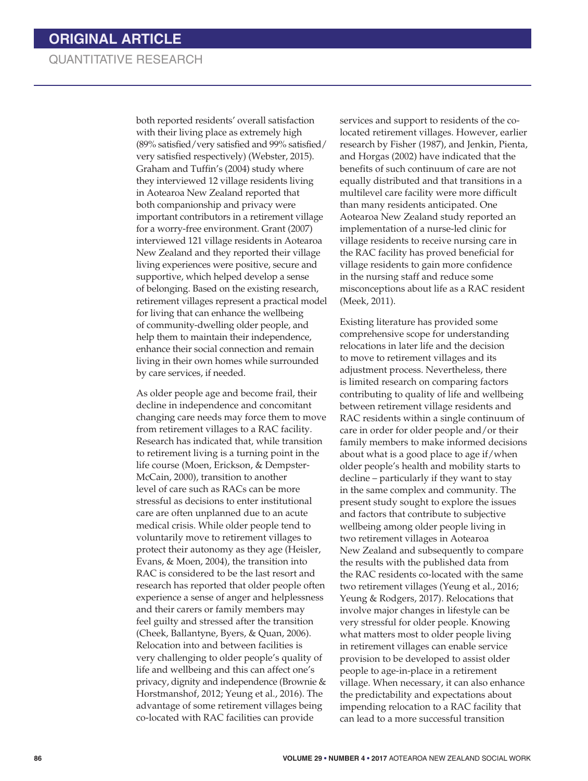both reported residents' overall satisfaction with their living place as extremely high (89% satisfied/very satisfied and 99% satisfied/ very satisfied respectively) (Webster, 2015). Graham and Tuffin's (2004) study where they interviewed 12 village residents living in Aotearoa New Zealand reported that both companionship and privacy were important contributors in a retirement village for a worry-free environment. Grant (2007) interviewed 121 village residents in Aotearoa New Zealand and they reported their village living experiences were positive, secure and supportive, which helped develop a sense of belonging. Based on the existing research, retirement villages represent a practical model for living that can enhance the wellbeing of community-dwelling older people, and help them to maintain their independence, enhance their social connection and remain living in their own homes while surrounded by care services, if needed.

As older people age and become frail, their decline in independence and concomitant changing care needs may force them to move from retirement villages to a RAC facility. Research has indicated that, while transition to retirement living is a turning point in the life course (Moen, Erickson, & Dempster-McCain, 2000), transition to another level of care such as RACs can be more stressful as decisions to enter institutional care are often unplanned due to an acute medical crisis. While older people tend to voluntarily move to retirement villages to protect their autonomy as they age (Heisler, Evans, & Moen, 2004), the transition into RAC is considered to be the last resort and research has reported that older people often experience a sense of anger and helplessness and their carers or family members may feel guilty and stressed after the transition (Cheek, Ballantyne, Byers, & Quan, 2006). Relocation into and between facilities is very challenging to older people's quality of life and wellbeing and this can affect one's privacy, dignity and independence (Brownie & Horstmanshof, 2012; Yeung et al., 2016). The advantage of some retirement villages being co-located with RAC facilities can provide

services and support to residents of the colocated retirement villages. However, earlier research by Fisher (1987), and Jenkin, Pienta, and Horgas (2002) have indicated that the benefits of such continuum of care are not equally distributed and that transitions in a multilevel care facility were more difficult than many residents anticipated. One Aotearoa New Zealand study reported an implementation of a nurse-led clinic for village residents to receive nursing care in the RAC facility has proved beneficial for village residents to gain more confidence in the nursing staff and reduce some misconceptions about life as a RAC resident (Meek, 2011).

Existing literature has provided some comprehensive scope for understanding relocations in later life and the decision to move to retirement villages and its adjustment process. Nevertheless, there is limited research on comparing factors contributing to quality of life and wellbeing between retirement village residents and RAC residents within a single continuum of care in order for older people and/or their family members to make informed decisions about what is a good place to age if/when older people's health and mobility starts to decline – particularly if they want to stay in the same complex and community. The present study sought to explore the issues and factors that contribute to subjective wellbeing among older people living in two retirement villages in Aotearoa New Zealand and subsequently to compare the results with the published data from the RAC residents co-located with the same two retirement villages (Yeung et al., 2016; Yeung & Rodgers, 2017). Relocations that involve major changes in lifestyle can be very stressful for older people. Knowing what matters most to older people living in retirement villages can enable service provision to be developed to assist older people to age-in-place in a retirement village. When necessary, it can also enhance the predictability and expectations about impending relocation to a RAC facility that can lead to a more successful transition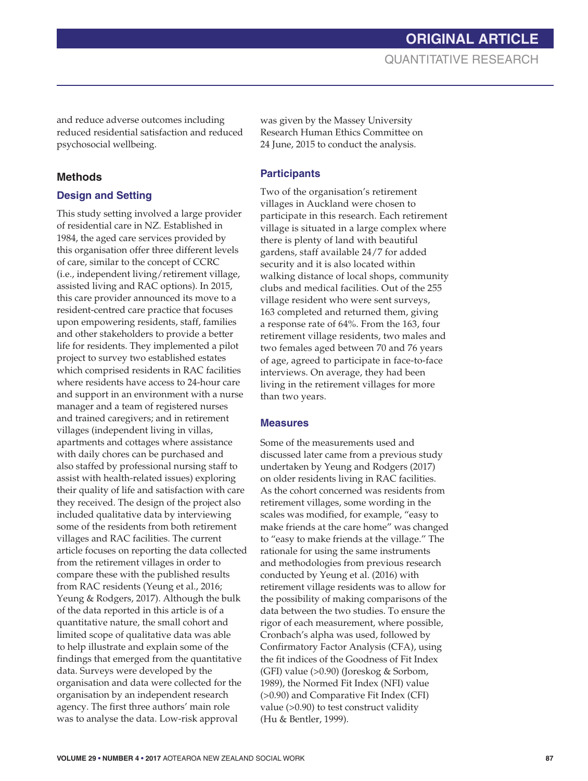**ORIGINAL ARTICLE** QUANTITATIVE RESEARCH

and reduce adverse outcomes including reduced residential satisfaction and reduced psychosocial wellbeing.

#### **Methods**

### **Design and Setting**

This study setting involved a large provider of residential care in NZ. Established in 1984, the aged care services provided by this organisation offer three different levels of care, similar to the concept of CCRC (i.e., independent living/retirement village, assisted living and RAC options). In 2015, this care provider announced its move to a resident-centred care practice that focuses upon empowering residents, staff, families and other stakeholders to provide a better life for residents. They implemented a pilot project to survey two established estates which comprised residents in RAC facilities where residents have access to 24-hour care and support in an environment with a nurse manager and a team of registered nurses and trained caregivers; and in retirement villages (independent living in villas, apartments and cottages where assistance with daily chores can be purchased and also staffed by professional nursing staff to assist with health-related issues) exploring their quality of life and satisfaction with care they received. The design of the project also included qualitative data by interviewing some of the residents from both retirement villages and RAC facilities. The current article focuses on reporting the data collected from the retirement villages in order to compare these with the published results from RAC residents (Yeung et al., 2016; Yeung & Rodgers, 2017). Although the bulk of the data reported in this article is of a quantitative nature, the small cohort and limited scope of qualitative data was able to help illustrate and explain some of the findings that emerged from the quantitative data. Surveys were developed by the organisation and data were collected for the organisation by an independent research agency. The first three authors' main role was to analyse the data. Low-risk approval

was given by the Massey University Research Human Ethics Committee on 24 June, 2015 to conduct the analysis.

#### **Participants**

Two of the organisation's retirement villages in Auckland were chosen to participate in this research. Each retirement village is situated in a large complex where there is plenty of land with beautiful gardens, staff available 24/7 for added security and it is also located within walking distance of local shops, community clubs and medical facilities. Out of the 255 village resident who were sent surveys, 163 completed and returned them, giving a response rate of 64%. From the 163, four retirement village residents, two males and two females aged between 70 and 76 years of age, agreed to participate in face-to-face interviews. On average, they had been living in the retirement villages for more than two years.

#### **Measures**

Some of the measurements used and discussed later came from a previous study undertaken by Yeung and Rodgers (2017) on older residents living in RAC facilities. As the cohort concerned was residents from retirement villages, some wording in the scales was modified, for example, "easy to make friends at the care home" was changed to "easy to make friends at the village." The rationale for using the same instruments and methodologies from previous research conducted by Yeung et al. (2016) with retirement village residents was to allow for the possibility of making comparisons of the data between the two studies. To ensure the rigor of each measurement, where possible, Cronbach's alpha was used, followed by Confirmatory Factor Analysis (CFA), using the fit indices of the Goodness of Fit Index (GFI) value (>0.90) (Joreskog & Sorbom, 1989), the Normed Fit Index (NFI) value (>0.90) and Comparative Fit Index (CFI) value (>0.90) to test construct validity (Hu & Bentler, 1999).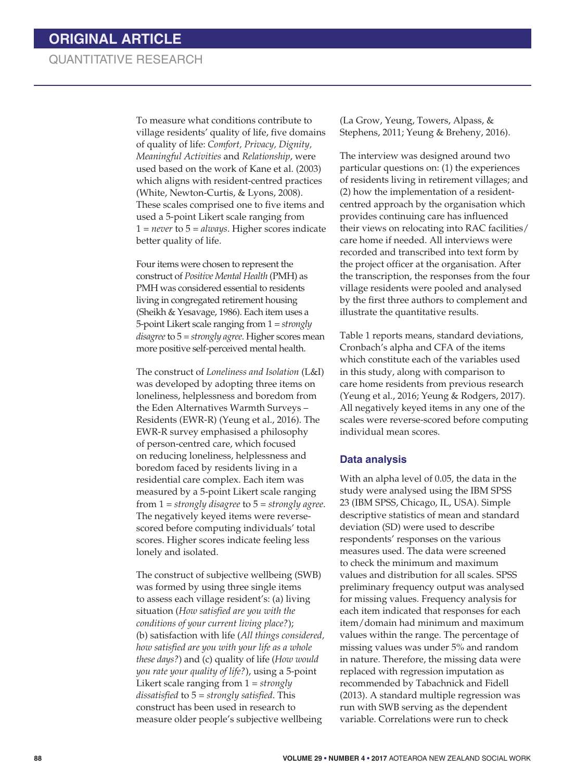To measure what conditions contribute to village residents' quality of life, five domains of quality of life: *Comfort, Privacy, Dignity, Meaningful Activities* and *Relationship*, were used based on the work of Kane et al. (2003) which aligns with resident-centred practices (White, Newton-Curtis, & Lyons, 2008). These scales comprised one to five items and used a 5-point Likert scale ranging from 1 = *never* to 5 = *always*. Higher scores indicate better quality of life.

Four items were chosen to represent the construct of *Positive Mental Health* (PMH) as PMH was considered essential to residents living in congregated retirement housing (Sheikh & Yesavage, 1986). Each item uses a 5-point Likert scale ranging from 1 = *strongly disagree* to 5 = *strongly agree*. Higher scores mean more positive self-perceived mental health.

The construct of *Loneliness and Isolation* (L&I) was developed by adopting three items on loneliness, helplessness and boredom from the Eden Alternatives Warmth Surveys – Residents (EWR-R) (Yeung et al., 2016). The EWR-R survey emphasised a philosophy of person-centred care, which focused on reducing loneliness, helplessness and boredom faced by residents living in a residential care complex. Each item was measured by a 5-point Likert scale ranging from 1 = *strongly disagree* to 5 = *strongly agree*. The negatively keyed items were reversescored before computing individuals' total scores. Higher scores indicate feeling less lonely and isolated.

The construct of subjective wellbeing (SWB) was formed by using three single items to assess each village resident's: (a) living situation (*How satisfied are you with the conditions of your current living place?*); (b) satisfaction with life (*All things considered, how satisfied are you with your life as a whole these days?*) and (c) quality of life (*How would you rate your quality of life?*), using a 5-point Likert scale ranging from 1 = *strongly dissatisfied* to 5 = *strongly satisfied*. This construct has been used in research to measure older people's subjective wellbeing

(La Grow, Yeung, Towers, Alpass, & Stephens, 2011; Yeung & Breheny, 2016).

The interview was designed around two particular questions on: (1) the experiences of residents living in retirement villages; and (2) how the implementation of a residentcentred approach by the organisation which provides continuing care has influenced their views on relocating into RAC facilities/ care home if needed. All interviews were recorded and transcribed into text form by the project officer at the organisation. After the transcription, the responses from the four village residents were pooled and analysed by the first three authors to complement and illustrate the quantitative results.

Table 1 reports means, standard deviations, Cronbach's alpha and CFA of the items which constitute each of the variables used in this study, along with comparison to care home residents from previous research (Yeung et al., 2016; Yeung & Rodgers, 2017). All negatively keyed items in any one of the scales were reverse-scored before computing individual mean scores.

#### **Data analysis**

With an alpha level of 0.05, the data in the study were analysed using the IBM SPSS 23 (IBM SPSS, Chicago, IL, USA). Simple descriptive statistics of mean and standard deviation (SD) were used to describe respondents' responses on the various measures used. The data were screened to check the minimum and maximum values and distribution for all scales. SPSS preliminary frequency output was analysed for missing values. Frequency analysis for each item indicated that responses for each item/domain had minimum and maximum values within the range. The percentage of missing values was under 5% and random in nature. Therefore, the missing data were replaced with regression imputation as recommended by Tabachnick and Fidell (2013). A standard multiple regression was run with SWB serving as the dependent variable. Correlations were run to check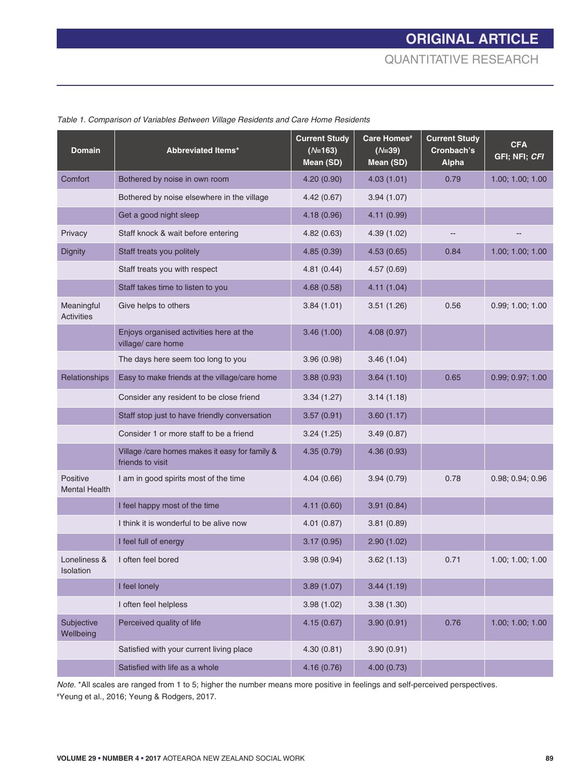| <b>Domain</b>                    | <b>Abbreviated Items*</b>                                          | <b>Current Study</b><br>$(N=163)$<br>Mean (SD) | Care Homes <sup>#</sup><br>$(N=39)$<br>Mean (SD) | <b>Current Study</b><br>Cronbach's<br><b>Alpha</b> | <b>CFA</b><br>GFI; NFI; CFI |
|----------------------------------|--------------------------------------------------------------------|------------------------------------------------|--------------------------------------------------|----------------------------------------------------|-----------------------------|
| Comfort                          | Bothered by noise in own room                                      | 4.20 (0.90)                                    | 4.03(1.01)                                       | 0.79                                               | 1.00; 1.00; 1.00            |
|                                  | Bothered by noise elsewhere in the village                         | 4.42(0.67)                                     | 3.94(1.07)                                       |                                                    |                             |
|                                  | Get a good night sleep                                             | 4.18(0.96)                                     | 4.11(0.99)                                       |                                                    |                             |
| Privacy                          | Staff knock & wait before entering                                 | 4.82(0.63)                                     | 4.39(1.02)                                       |                                                    |                             |
| Dignity                          | Staff treats you politely                                          | 4.85(0.39)                                     | 4.53(0.65)                                       | 0.84                                               | 1.00; 1.00; 1.00            |
|                                  | Staff treats you with respect                                      | 4.81(0.44)                                     | 4.57(0.69)                                       |                                                    |                             |
|                                  | Staff takes time to listen to you                                  | 4.68(0.58)                                     | 4.11(1.04)                                       |                                                    |                             |
| Meaningful<br><b>Activities</b>  | Give helps to others                                               | 3.84(1.01)                                     | 3.51(1.26)                                       | 0.56                                               | 0.99; 1.00; 1.00            |
|                                  | Enjoys organised activities here at the<br>village/ care home      | 3.46(1.00)                                     | 4.08(0.97)                                       |                                                    |                             |
|                                  | The days here seem too long to you                                 | 3.96(0.98)                                     | 3.46(1.04)                                       |                                                    |                             |
| Relationships                    | Easy to make friends at the village/care home                      | 3.88(0.93)                                     | 3.64(1.10)                                       | 0.65                                               | 0.99; 0.97; 1.00            |
|                                  | Consider any resident to be close friend                           | 3.34(1.27)                                     | 3.14(1.18)                                       |                                                    |                             |
|                                  | Staff stop just to have friendly conversation                      | 3.57(0.91)                                     | 3.60(1.17)                                       |                                                    |                             |
|                                  | Consider 1 or more staff to be a friend                            | 3.24(1.25)                                     | 3.49(0.87)                                       |                                                    |                             |
|                                  | Village /care homes makes it easy for family &<br>friends to visit | 4.35(0.79)                                     | 4.36(0.93)                                       |                                                    |                             |
| Positive<br><b>Mental Health</b> | I am in good spirits most of the time                              | 4.04(0.66)                                     | 3.94(0.79)                                       | 0.78                                               | 0.98; 0.94; 0.96            |
|                                  | I feel happy most of the time                                      | 4.11(0.60)                                     | 3.91(0.84)                                       |                                                    |                             |
|                                  | I think it is wonderful to be alive now                            | 4.01(0.87)                                     | 3.81(0.89)                                       |                                                    |                             |
|                                  | I feel full of energy                                              | 3.17(0.95)                                     | 2.90(1.02)                                       |                                                    |                             |
| Loneliness &<br>Isolation        | I often feel bored                                                 | 3.98(0.94)                                     | 3.62(1.13)                                       | 0.71                                               | 1.00; 1.00; 1.00            |
|                                  | I feel lonely                                                      | 3.89(1.07)                                     | 3.44(1.19)                                       |                                                    |                             |
|                                  | I often feel helpless                                              | 3.98(1.02)                                     | 3.38(1.30)                                       |                                                    |                             |
| Subjective<br>Wellbeing          | Perceived quality of life                                          | 4.15(0.67)                                     | 3.90(0.91)                                       | 0.76                                               | 1.00; 1.00; 1.00            |
|                                  | Satisfied with your current living place                           | 4.30(0.81)                                     | 3.90(0.91)                                       |                                                    |                             |
|                                  | Satisfied with life as a whole                                     | 4.16(0.76)                                     | 4.00(0.73)                                       |                                                    |                             |

*Table 1. Comparison of Variables Between Village Residents and Care Home Residents*

*Note.* \*All scales are ranged from 1 to 5; higher the number means more positive in feelings and self-perceived perspectives. # Yeung et al., 2016; Yeung & Rodgers, 2017.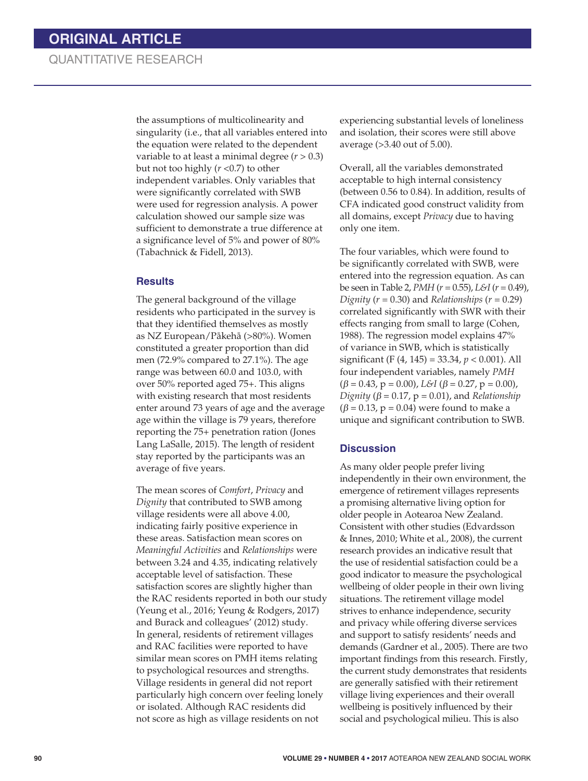the assumptions of multicolinearity and singularity (i.e., that all variables entered into the equation were related to the dependent variable to at least a minimal degree  $(r > 0.3)$ but not too highly (*r* <0.7) to other independent variables. Only variables that were significantly correlated with SWB were used for regression analysis. A power calculation showed our sample size was sufficient to demonstrate a true difference at a significance level of 5% and power of 80% (Tabachnick & Fidell, 2013).

#### **Results**

The general background of the village residents who participated in the survey is that they identified themselves as mostly as NZ European/Pákehá (>80%). Women constituted a greater proportion than did men (72.9% compared to 27.1%). The age range was between 60.0 and 103.0, with over 50% reported aged 75+. This aligns with existing research that most residents enter around 73 years of age and the average age within the village is 79 years, therefore reporting the 75+ penetration ration (Jones Lang LaSalle, 2015). The length of resident stay reported by the participants was an average of five years.

The mean scores of *Comfort*, *Privacy* and *Dignity* that contributed to SWB among village residents were all above 4.00, indicating fairly positive experience in these areas. Satisfaction mean scores on *Meaningful Activities* and *Relationships* were between 3.24 and 4.35, indicating relatively acceptable level of satisfaction. These satisfaction scores are slightly higher than the RAC residents reported in both our study (Yeung et al., 2016; Yeung & Rodgers, 2017) and Burack and colleagues' (2012) study. In general, residents of retirement villages and RAC facilities were reported to have similar mean scores on PMH items relating to psychological resources and strengths. Village residents in general did not report particularly high concern over feeling lonely or isolated. Although RAC residents did not score as high as village residents on not

experiencing substantial levels of loneliness and isolation, their scores were still above average (>3.40 out of 5.00).

Overall, all the variables demonstrated acceptable to high internal consistency (between 0.56 to 0.84). In addition, results of CFA indicated good construct validity from all domains, except *Privacy* due to having only one item.

The four variables, which were found to be significantly correlated with SWB, were entered into the regression equation. As can be seen in Table 2, *PMH* (*r* = 0.55), *L&I* (*r* = 0.49), *Dignity* ( $r = 0.30$ ) and *Relationships* ( $r = 0.29$ ) correlated significantly with SWR with their effects ranging from small to large (Cohen, 1988). The regression model explains 47% of variance in SWB, which is statistically significant (F (4, 145) = 33.34, *p* < 0.001). All four independent variables, namely *PMH*  $(\beta = 0.43, p = 0.00),$  *L*&*I* ( $\beta = 0.27, p = 0.00$ ), *Dignity* ( $\beta$  = 0.17,  $p$  = 0.01), and *Relationship*  $(\beta = 0.13, p = 0.04)$  were found to make a unique and significant contribution to SWB.

#### **Discussion**

As many older people prefer living independently in their own environment, the emergence of retirement villages represents a promising alternative living option for older people in Aotearoa New Zealand. Consistent with other studies (Edvardsson & Innes, 2010; White et al., 2008), the current research provides an indicative result that the use of residential satisfaction could be a good indicator to measure the psychological wellbeing of older people in their own living situations. The retirement village model strives to enhance independence, security and privacy while offering diverse services and support to satisfy residents' needs and demands (Gardner et al., 2005). There are two important findings from this research. Firstly, the current study demonstrates that residents are generally satisfied with their retirement village living experiences and their overall wellbeing is positively influenced by their social and psychological milieu. This is also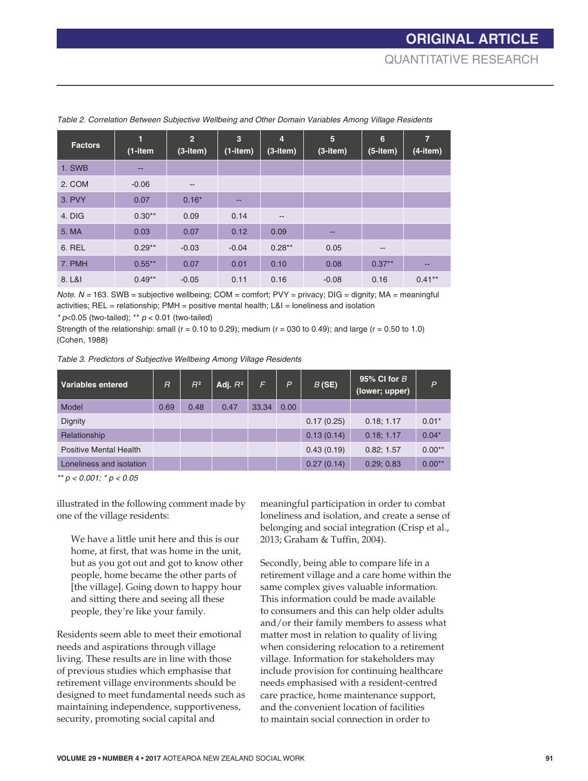| <b>Factors</b> | $\blacksquare$<br>$(1 - item)$ | $\overline{2}$<br>$(3$ -item $)$ | $\overline{3}$<br>$(1$ -item $)$ | $\overline{4}$<br>$(3$ -item $)$ | 5<br>$(3$ -item $)$ | 6<br>$(5$ -item $)$      | $\overline{7}$<br>$(4$ -item $)$ |
|----------------|--------------------------------|----------------------------------|----------------------------------|----------------------------------|---------------------|--------------------------|----------------------------------|
| 1. SWB         | --                             |                                  |                                  |                                  |                     |                          |                                  |
| 2. COM         | $-0.06$                        | $\overline{\phantom{m}}$         |                                  |                                  |                     |                          |                                  |
| 3. PVY         | 0.07                           | $0.16*$                          | --                               |                                  |                     |                          |                                  |
| 4. DIG         | $0.30**$                       | 0.09                             | 0.14                             | $- -$                            |                     |                          |                                  |
| 5. MA          | 0.03                           | 0.07                             | 0.12                             | 0.09                             | --                  |                          |                                  |
| 6. REL         | $0.29**$                       | $-0.03$                          | $-0.04$                          | $0.28**$                         | 0.05                | $\overline{\phantom{m}}$ |                                  |
| 7. PMH         | $0.55***$                      | 0.07                             | 0.01                             | 0.10                             | 0.08                | $0.37**$                 | $-$                              |
| 8. L&I         | $0.49**$                       | $-0.05$                          | 0.11                             | 0.16                             | $-0.08$             | 0.16                     | $0.41***$                        |

*Table 2. Correlation Between Subjective Wellbeing and Other Domain Variables Among Village Residents*

*Note.*  $N = 163$ . SWB = subjective wellbeing; COM = comfort; PVY = privacy; DIG = dignity; MA = meaningful activities; REL = relationship; PMH = positive mental health; L&I = loneliness and isolation

*\* p*<0.05 (two-tailed); \*\* *p* < 0.01 (two-tailed)

Strength of the relationship: small ( $r = 0.10$  to 0.29); medium ( $r = 030$  to 0.49); and large ( $r = 0.50$  to 1.0) (Cohen, 1988)

*Table 3. Predictors of Subjective Wellbeing Among Village Residents*

| <b>Variables entered</b>      | $\overline{R}$ | $R^2$ | Adj. $R^2$ | F     | $\overline{P}$ | B(SE)      | 95% CI for $B$<br>(lower; upper) | $\overline{P}$ |
|-------------------------------|----------------|-------|------------|-------|----------------|------------|----------------------------------|----------------|
| Model                         | 0.69           | 0.48  | 0.47       | 33.34 | 0.00           |            |                                  |                |
| Dignity                       |                |       |            |       |                | 0.17(0.25) | 0.18; 1.17                       | $0.01*$        |
| Relationship                  |                |       |            |       |                | 0.13(0.14) | 0.18; 1.17                       | $0.04*$        |
| <b>Positive Mental Health</b> |                |       |            |       |                | 0.43(0.19) | 0.82; 1.57                       | $0.00**$       |
| Loneliness and isolation      |                |       |            |       |                | 0.27(0.14) | 0.29; 0.83                       | $0.00**$       |

*\*\* p < 0.001; \* p < 0.05*

illustrated in the following comment made by one of the village residents:

We have a little unit here and this is our home, at first, that was home in the unit, but as you got out and got to know other people, home became the other parts of [the village]. Going down to happy hour and sitting there and seeing all these people, they're like your family.

Residents seem able to meet their emotional needs and aspirations through village living. These results are in line with those of previous studies which emphasise that retirement village environments should be designed to meet fundamental needs such as maintaining independence, supportiveness, security, promoting social capital and

meaningful participation in order to combat loneliness and isolation, and create a sense of belonging and social integration (Crisp et al., 2013; Graham & Tuffin, 2004).

Secondly, being able to compare life in a retirement village and a care home within the same complex gives valuable information. This information could be made available to consumers and this can help older adults and/or their family members to assess what matter most in relation to quality of living when considering relocation to a retirement village. Information for stakeholders may include provision for continuing healthcare needs emphasised with a resident-centred care practice, home maintenance support, and the convenient location of facilities to maintain social connection in order to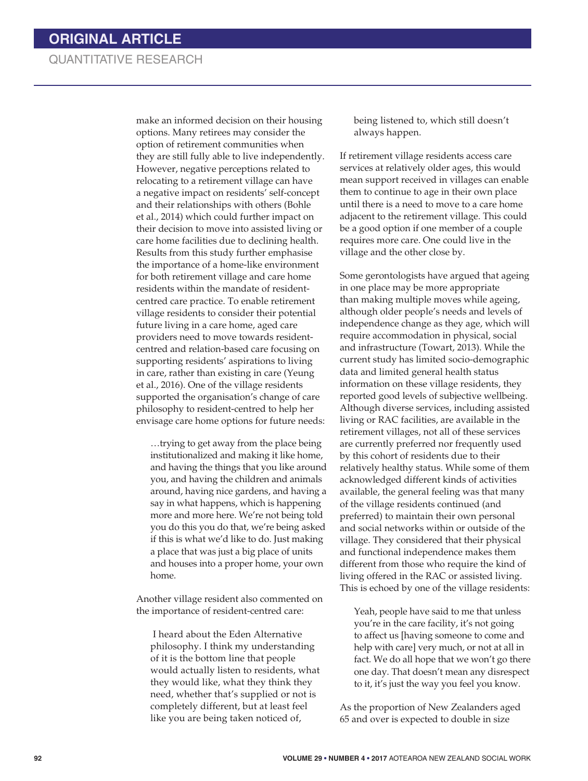make an informed decision on their housing options. Many retirees may consider the option of retirement communities when they are still fully able to live independently. However, negative perceptions related to relocating to a retirement village can have a negative impact on residents' self-concept and their relationships with others (Bohle et al., 2014) which could further impact on their decision to move into assisted living or care home facilities due to declining health. Results from this study further emphasise the importance of a home-like environment for both retirement village and care home residents within the mandate of residentcentred care practice. To enable retirement village residents to consider their potential future living in a care home, aged care providers need to move towards residentcentred and relation-based care focusing on supporting residents' aspirations to living in care, rather than existing in care (Yeung et al., 2016). One of the village residents supported the organisation's change of care philosophy to resident-centred to help her envisage care home options for future needs:

…trying to get away from the place being institutionalized and making it like home, and having the things that you like around you, and having the children and animals around, having nice gardens, and having a say in what happens, which is happening more and more here. We're not being told you do this you do that, we're being asked if this is what we'd like to do. Just making a place that was just a big place of units and houses into a proper home, your own home.

Another village resident also commented on the importance of resident-centred care:

 I heard about the Eden Alternative philosophy. I think my understanding of it is the bottom line that people would actually listen to residents, what they would like, what they think they need, whether that's supplied or not is completely different, but at least feel like you are being taken noticed of,

being listened to, which still doesn't always happen.

If retirement village residents access care services at relatively older ages, this would mean support received in villages can enable them to continue to age in their own place until there is a need to move to a care home adjacent to the retirement village. This could be a good option if one member of a couple requires more care. One could live in the village and the other close by.

Some gerontologists have argued that ageing in one place may be more appropriate than making multiple moves while ageing, although older people's needs and levels of independence change as they age, which will require accommodation in physical, social and infrastructure (Towart, 2013). While the current study has limited socio-demographic data and limited general health status information on these village residents, they reported good levels of subjective wellbeing. Although diverse services, including assisted living or RAC facilities, are available in the retirement villages, not all of these services are currently preferred nor frequently used by this cohort of residents due to their relatively healthy status. While some of them acknowledged different kinds of activities available, the general feeling was that many of the village residents continued (and preferred) to maintain their own personal and social networks within or outside of the village. They considered that their physical and functional independence makes them different from those who require the kind of living offered in the RAC or assisted living. This is echoed by one of the village residents:

Yeah, people have said to me that unless you're in the care facility, it's not going to affect us [having someone to come and help with care] very much, or not at all in fact. We do all hope that we won't go there one day. That doesn't mean any disrespect to it, it's just the way you feel you know.

As the proportion of New Zealanders aged 65 and over is expected to double in size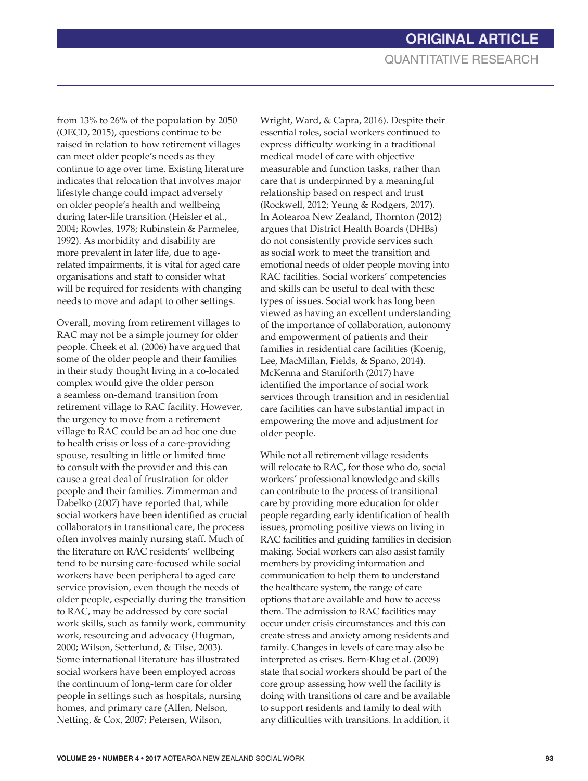from 13% to 26% of the population by 2050 (OECD, 2015), questions continue to be raised in relation to how retirement villages can meet older people's needs as they continue to age over time. Existing literature indicates that relocation that involves major lifestyle change could impact adversely on older people's health and wellbeing during later-life transition (Heisler et al., 2004; Rowles, 1978; Rubinstein & Parmelee, 1992). As morbidity and disability are more prevalent in later life, due to agerelated impairments, it is vital for aged care organisations and staff to consider what will be required for residents with changing needs to move and adapt to other settings.

Overall, moving from retirement villages to RAC may not be a simple journey for older people. Cheek et al. (2006) have argued that some of the older people and their families in their study thought living in a co-located complex would give the older person a seamless on-demand transition from retirement village to RAC facility. However, the urgency to move from a retirement village to RAC could be an ad hoc one due to health crisis or loss of a care-providing spouse, resulting in little or limited time to consult with the provider and this can cause a great deal of frustration for older people and their families. Zimmerman and Dabelko (2007) have reported that, while social workers have been identified as crucial collaborators in transitional care, the process often involves mainly nursing staff. Much of the literature on RAC residents' wellbeing tend to be nursing care-focused while social workers have been peripheral to aged care service provision, even though the needs of older people, especially during the transition to RAC, may be addressed by core social work skills, such as family work, community work, resourcing and advocacy (Hugman, 2000; Wilson, Setterlund, & Tilse, 2003). Some international literature has illustrated social workers have been employed across the continuum of long-term care for older people in settings such as hospitals, nursing homes, and primary care (Allen, Nelson, Netting, & Cox, 2007; Petersen, Wilson,

Wright, Ward, & Capra, 2016). Despite their essential roles, social workers continued to express difficulty working in a traditional medical model of care with objective measurable and function tasks, rather than care that is underpinned by a meaningful relationship based on respect and trust (Rockwell, 2012; Yeung & Rodgers, 2017). In Aotearoa New Zealand, Thornton (2012) argues that District Health Boards (DHBs) do not consistently provide services such as social work to meet the transition and emotional needs of older people moving into RAC facilities. Social workers' competencies and skills can be useful to deal with these types of issues. Social work has long been viewed as having an excellent understanding of the importance of collaboration, autonomy and empowerment of patients and their families in residential care facilities (Koenig, Lee, MacMillan, Fields, & Spano, 2014). McKenna and Staniforth (2017) have identified the importance of social work services through transition and in residential care facilities can have substantial impact in empowering the move and adjustment for older people.

While not all retirement village residents will relocate to RAC, for those who do, social workers' professional knowledge and skills can contribute to the process of transitional care by providing more education for older people regarding early identification of health issues, promoting positive views on living in RAC facilities and guiding families in decision making. Social workers can also assist family members by providing information and communication to help them to understand the healthcare system, the range of care options that are available and how to access them. The admission to RAC facilities may occur under crisis circumstances and this can create stress and anxiety among residents and family. Changes in levels of care may also be interpreted as crises. Bern-Klug et al. (2009) state that social workers should be part of the core group assessing how well the facility is doing with transitions of care and be available to support residents and family to deal with any difficulties with transitions. In addition, it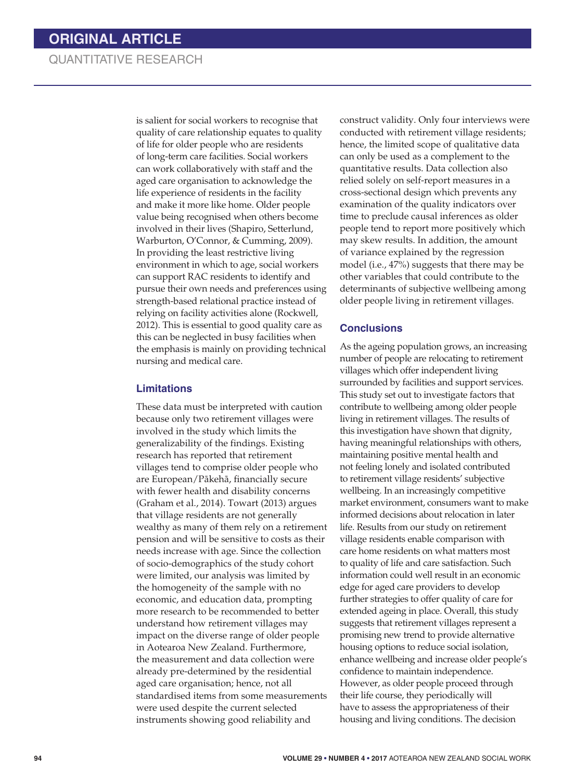is salient for social workers to recognise that quality of care relationship equates to quality of life for older people who are residents of long-term care facilities. Social workers can work collaboratively with staff and the aged care organisation to acknowledge the life experience of residents in the facility and make it more like home. Older people value being recognised when others become involved in their lives (Shapiro, Setterlund, Warburton, O'Connor, & Cumming, 2009). In providing the least restrictive living environment in which to age, social workers can support RAC residents to identify and pursue their own needs and preferences using strength-based relational practice instead of relying on facility activities alone (Rockwell, 2012). This is essential to good quality care as this can be neglected in busy facilities when the emphasis is mainly on providing technical nursing and medical care.

#### **Limitations**

These data must be interpreted with caution because only two retirement villages were involved in the study which limits the generalizability of the findings. Existing research has reported that retirement villages tend to comprise older people who are European/Pákehá, financially secure with fewer health and disability concerns (Graham et al., 2014). Towart (2013) argues that village residents are not generally wealthy as many of them rely on a retirement pension and will be sensitive to costs as their needs increase with age. Since the collection of socio-demographics of the study cohort were limited, our analysis was limited by the homogeneity of the sample with no economic, and education data, prompting more research to be recommended to better understand how retirement villages may impact on the diverse range of older people in Aotearoa New Zealand. Furthermore, the measurement and data collection were already pre-determined by the residential aged care organisation; hence, not all standardised items from some measurements were used despite the current selected instruments showing good reliability and

construct validity. Only four interviews were conducted with retirement village residents; hence, the limited scope of qualitative data can only be used as a complement to the quantitative results. Data collection also relied solely on self-report measures in a cross-sectional design which prevents any examination of the quality indicators over time to preclude causal inferences as older people tend to report more positively which may skew results. In addition, the amount of variance explained by the regression model (i.e., 47%) suggests that there may be other variables that could contribute to the determinants of subjective wellbeing among older people living in retirement villages.

#### **Conclusions**

As the ageing population grows, an increasing number of people are relocating to retirement villages which offer independent living surrounded by facilities and support services. This study set out to investigate factors that contribute to wellbeing among older people living in retirement villages. The results of this investigation have shown that dignity, having meaningful relationships with others, maintaining positive mental health and not feeling lonely and isolated contributed to retirement village residents' subjective wellbeing. In an increasingly competitive market environment, consumers want to make informed decisions about relocation in later life. Results from our study on retirement village residents enable comparison with care home residents on what matters most to quality of life and care satisfaction. Such information could well result in an economic edge for aged care providers to develop further strategies to offer quality of care for extended ageing in place. Overall, this study suggests that retirement villages represent a promising new trend to provide alternative housing options to reduce social isolation, enhance wellbeing and increase older people's confidence to maintain independence. However, as older people proceed through their life course, they periodically will have to assess the appropriateness of their housing and living conditions. The decision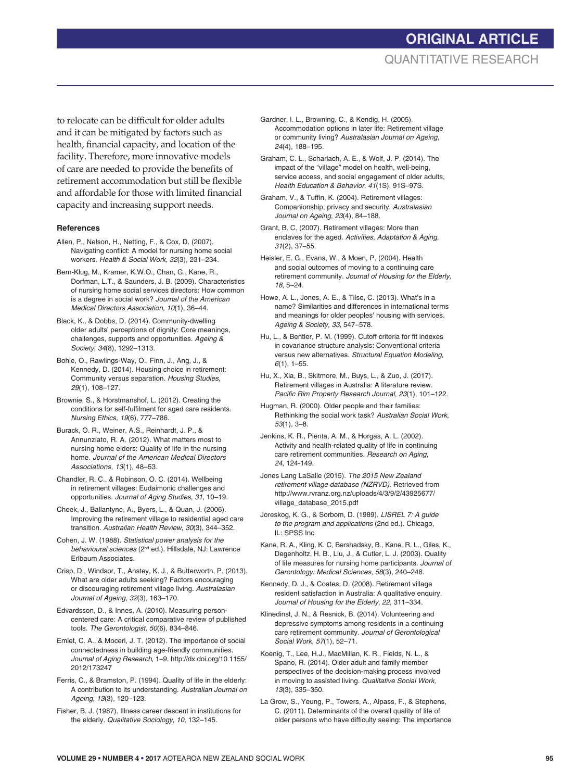## **ORIGINAL ARTICLE** QUANTITATIVE RESEARCH

to relocate can be difficult for older adults and it can be mitigated by factors such as health, financial capacity, and location of the facility. Therefore, more innovative models of care are needed to provide the benefits of retirement accommodation but still be flexible and affordable for those with limited financial capacity and increasing support needs.

#### **References**

- Allen, P., Nelson, H., Netting, F., & Cox, D. (2007). Navigating conflict: A model for nursing home social workers. *Health & Social Work, 32*(3), 231–234.
- Bern-Klug, M., Kramer, K.W.O., Chan, G., Kane, R., Dorfman, L.T., & Saunders, J. B. (2009). Characteristics of nursing home social services directors: How common is a degree in social work? *Journal of the American Medical Directors Association, 10*(1), 36–44.
- Black, K., & Dobbs, D. (2014). Community-dwelling older adults' perceptions of dignity: Core meanings, challenges, supports and opportunities. *Ageing & Society, 34*(8), 1292–1313.
- Bohle, O., Rawlings-Way, O., Finn, J., Ang, J., & Kennedy, D. (2014). Housing choice in retirement: Community versus separation. *Housing Studies*, *29*(1), 108–127.
- Brownie, S., & Horstmanshof, L. (2012). Creating the conditions for self-fulfilment for aged care residents. *Nursing Ethics, 19*(6), 777–786.
- Burack, O. R., Weiner, A.S., Reinhardt, J. P., & Annunziato, R. A. (2012). What matters most to nursing home elders: Quality of life in the nursing home. *Journal of the American Medical Directors Associations, 13*(1), 48–53.
- Chandler, R. C., & Robinson, O. C. (2014). Wellbeing in retirement villages: Eudaimonic challenges and opportunities. *Journal of Aging Studies, 31*, 10–19.
- Cheek, J., Ballantyne, A., Byers, L., & Quan, J. (2006). Improving the retirement village to residential aged care transition. *Australian Health Review, 30*(3), 344–352.
- Cohen, J. W. (1988). *Statistical power analysis for the behavioural sciences* (2nd ed.). Hillsdale, NJ: Lawrence Erlbaum Associates.
- Crisp, D., Windsor, T., Anstey, K. J., & Butterworth, P. (2013). What are older adults seeking? Factors encouraging or discouraging retirement village living. *Australasian Journal of Ageing, 32*(3), 163–170.
- Edvardsson, D., & Innes, A. (2010). Measuring personcentered care: A critical comparative review of published tools. *The Gerontologist, 50*(6), 834–846.
- Emlet, C. A., & Moceri, J. T. (2012). The importance of social connectedness in building age-friendly communities. *Journal of Aging Research*, 1–9. http://dx.doi.org/10.1155/ 2012/173247
- Ferris, C., & Bramston, P. (1994). Quality of life in the elderly: A contribution to its understanding. *Australian Journal on Ageing, 13*(3), 120–123.
- Fisher, B. J. (1987). Illness career descent in institutions for the elderly. *Qualitative Sociology, 10*, 132–145.
- Gardner, I. L., Browning, C., & Kendig, H. (2005). Accommodation options in later life: Retirement village or community living? *Australasian Journal on Ageing, 24*(4)*,* 188–195.
- Graham, C. L., Scharlach, A. E., & Wolf, J. P. (2014). The impact of the "village" model on health, well-being, service access, and social engagement of older adults, *Health Education & Behavior, 41*(1S), 91S–97S.
- Graham, V., & Tuffin, K. (2004). Retirement villages: Companionship, privacy and security. *Australasian Journal on Ageing, 23*(4), 84–188.
- Grant, B. C. (2007). Retirement villages: More than enclaves for the aged. *Activities, Adaptation & Aging, 31*(2), 37–55.
- Heisler, E. G., Evans, W., & Moen, P. (2004). Health and social outcomes of moving to a continuing care retirement community. *Journal of Housing for the Elderly, 18*, 5–24.
- Howe, A. L., Jones, A. E., & Tilse, C. (2013). What's in a name? Similarities and differences in international terms and meanings for older peoples' housing with services. *Ageing & Society, 33*, 547–578.
- Hu, L., & Bentler, P. M. (1999). Cutoff criteria for fit indexes in covariance structure analysis: Conventional criteria versus new alternatives. *Structural Equation Modeling*, *6*(1), 1–55.
- Hu, X., Xia, B., Skitmore, M., Buys, L., & Zuo, J. (2017). Retirement villages in Australia: A literature review. *Pacific Rim Property Research Journal, 23*(1), 101–122.
- Hugman, R. (2000). Older people and their families: Rethinking the social work task? *Australian Social Work, 53*(1), 3–8.
- Jenkins, K. R., Pienta, A. M., & Horgas, A. L. (2002). Activity and health-related quality of life in continuing care retirement communities. *Research on Aging, 24*, 124-149.
- Jones Lang LaSalle (2015). *The 2015 New Zealand retirement village database (NZRVD)*. Retrieved from http://www.rvranz.org.nz/uploads/4/3/9/2/43925677/ village\_database\_2015.pdf
- Joreskog, K. G., & Sorbom, D. (1989). *LISREL 7: A guide to the program and applications* (2nd ed.). Chicago, IL: SPSS Inc.
- Kane, R. A., Kling, K. C, Bershadsky, B., Kane, R. L., Giles, K., Degenholtz, H. B., Liu, J., & Cutler, L. J. (2003). Quality of life measures for nursing home participants. *Journal of Gerontology: Medical Sciences, 58*(3), 240–248.
- Kennedy, D. J., & Coates, D. (2008). Retirement village resident satisfaction in Australia: A qualitative enquiry. *Journal of Housing for the Elderly, 22*, 311–334.
- Klinedinst, J. N., & Resnick, B. (2014). Volunteering and depressive symptoms among residents in a continuing care retirement community. *Journal of Gerontological Social Work, 57*(1), 52–71.
- Koenig, T., Lee, H.J., MacMillan, K. R., Fields, N. L., & Spano, R. (2014). Older adult and family member perspectives of the decision-making process involved in moving to assisted living. *Qualitative Social Work, 13*(3), 335–350.
- La Grow, S., Yeung, P., Towers, A., Alpass, F., & Stephens, C. (2011). Determinants of the overall quality of life of older persons who have difficulty seeing: The importance